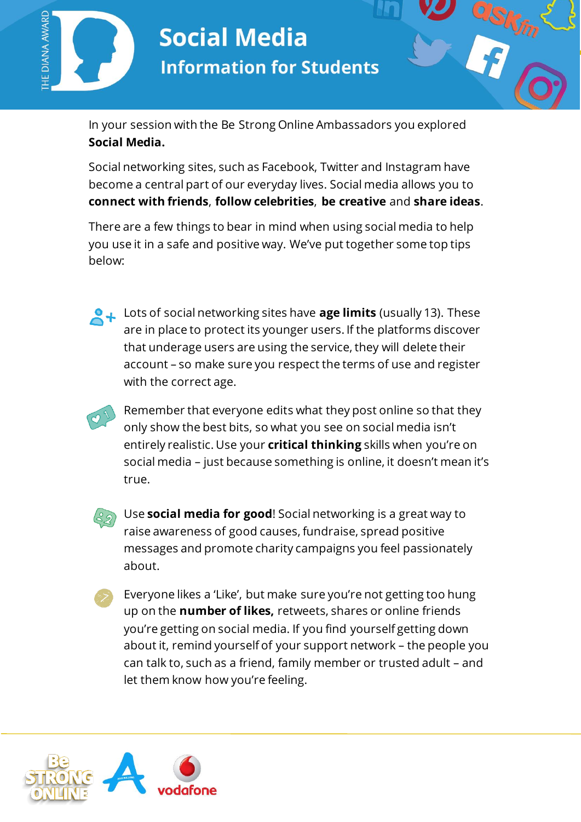

## **Social Media Information for Students**

In your session with the Be Strong Online Ambassadors you explored **Social Media.**

Social networking sites, such as Facebook, Twitter and Instagram have become a central part of our everyday lives. Social media allows you to **connect with friends**, **follow celebrities**, **be creative** and **share ideas**.

There are a few things to bear in mind when using social media to help you use it in a safe and positive way. We've put together some top tips below:

**Lots of social networking sites have age limits** (usually 13). These are in place to protect its younger users. If the platforms discover that underage users are using the service, they will delete their account – so make sure you respect the terms of use and register with the correct age.

Remember that everyone edits what they post online so that they only show the best bits, so what you see on social media isn't entirely realistic. Use your **critical thinking** skills when you're on social media – just because something is online, it doesn't mean it's true.



Use **social media for good**! Social networking is a great way to raise awareness of good causes, fundraise, spread positive messages and promote charity campaigns you feel passionately about.

Everyone likes a 'Like', but make sure you're not getting too hung up on the **number of likes,** retweets, shares or online friends you're getting on social media. If you find yourself getting down about it, remind yourself of your support network – the people you can talk to, such as a friend, family member or trusted adult – and let them know how you're feeling.



 $\overline{a}$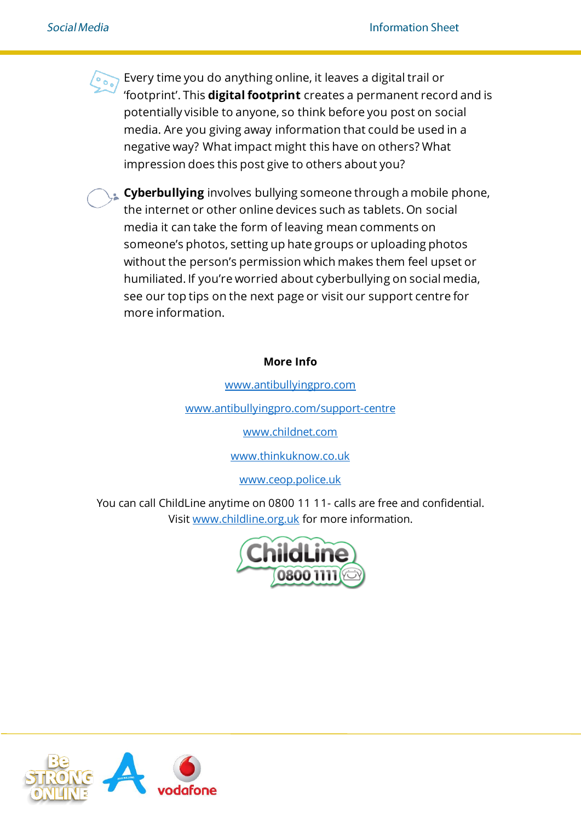Every time you do anything online, it leaves a digital trail or 'footprint'. This **digital footprint** creates a permanent record and is potentially visible to anyone, so think before you post on social media. Are you giving away information that could be used in a negative way? What impact might this have on others? What impression does this post give to others about you?

**Cyberbullying** involves bullying someone through a mobile phone, the internet or other online devices such as tablets. On social media it can take the form of leaving mean comments on someone's photos, setting up hate groups or uploading photos without the person's permission which makes them feel upset or humiliated. If you're worried about cyberbullying on social media, see our top tips on the next page or visit our support centre for more information.

## **More Info**

[www.antibullyingpro.com](http://www.antibullyingpro.com/)

[www.antibullyingpro.com/support-centre](http://www.antibullyingpro.com/support-centre)

[www.childnet.com](http://www.childnet.com/)

[www.thinkuknow.co.uk](http://www.thinkuknow.co.uk/)

[www.ceop.police.uk](http://www.ceop.police.uk/)

You can call ChildLine anytime on 0800 11 11- calls are free and confidential. Visit [www.childline.org.uk](http://www.childline.org.uk/) for more information.





 $\overline{a}$